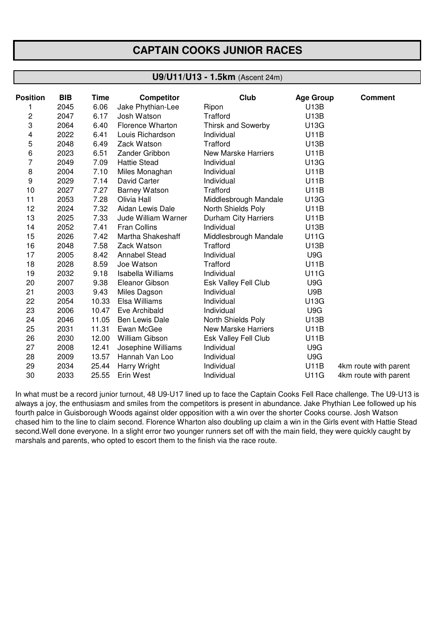## **CAPTAIN COOKS JUNIOR RACES**

## **U9/U11/U13 - 1.5km** (Ascent 24m)

| <b>Position</b> | <b>BIB</b> | Time  | <b>Competitor</b>        | Club                       | <b>Age Group</b> | <b>Comment</b>        |
|-----------------|------------|-------|--------------------------|----------------------------|------------------|-----------------------|
|                 | 2045       | 6.06  | Jake Phythian-Lee        | Ripon                      | U13B             |                       |
| 2               | 2047       | 6.17  | Josh Watson              | Trafford                   | U13B             |                       |
| 3               | 2064       | 6.40  | <b>Florence Wharton</b>  | <b>Thirsk and Sowerby</b>  | U13G             |                       |
| 4               | 2022       | 6.41  | Louis Richardson         | Individual                 | <b>U11B</b>      |                       |
| 5               | 2048       | 6.49  | Zack Watson              | Trafford                   | U13B             |                       |
| 6               | 2023       | 6.51  | Zander Gribbon           | <b>New Marske Harriers</b> | <b>U11B</b>      |                       |
| 7               | 2049       | 7.09  | <b>Hattie Stead</b>      | Individual                 | U13G             |                       |
| 8               | 2004       | 7.10  | Miles Monaghan           | Individual                 | <b>U11B</b>      |                       |
| 9               | 2029       | 7.14  | David Carter             | Individual                 | <b>U11B</b>      |                       |
| 10              | 2027       | 7.27  | <b>Barney Watson</b>     | Trafford                   | <b>U11B</b>      |                       |
| 11              | 2053       | 7.28  | Olivia Hall              | Middlesbrough Mandale      | U13G             |                       |
| 12              | 2024       | 7.32  | Aidan Lewis Dale         | North Shields Poly         | <b>U11B</b>      |                       |
| 13              | 2025       | 7.33  | Jude William Warner      | Durham City Harriers       | U11B             |                       |
| 14              | 2052       | 7.41  | <b>Fran Collins</b>      | Individual                 | U13B             |                       |
| 15              | 2026       | 7.42  | Martha Shakeshaff        | Middlesbrough Mandale      | <b>U11G</b>      |                       |
| 16              | 2048       | 7.58  | Zack Watson              | Trafford                   | U13B             |                       |
| 17              | 2005       | 8.42  | Annabel Stead            | Individual                 | U9G              |                       |
| 18              | 2028       | 8.59  | Joe Watson               | Trafford                   | <b>U11B</b>      |                       |
| 19              | 2032       | 9.18  | <b>Isabella Williams</b> | Individual                 | <b>U11G</b>      |                       |
| 20              | 2007       | 9.38  | Eleanor Gibson           | Esk Valley Fell Club       | U9G              |                       |
| 21              | 2003       | 9.43  | Miles Dagson             | Individual                 | U9B              |                       |
| 22              | 2054       | 10.33 | Elsa Williams            | Individual                 | U13G             |                       |
| 23              | 2006       | 10.47 | Eve Archibald            | Individual                 | U9G              |                       |
| 24              | 2046       | 11.05 | Ben Lewis Dale           | North Shields Poly         | U13B             |                       |
| 25              | 2031       | 11.31 | Ewan McGee               | New Marske Harriers        | <b>U11B</b>      |                       |
| 26              | 2030       | 12.00 | William Gibson           | Esk Valley Fell Club       | <b>U11B</b>      |                       |
| 27              | 2008       | 12.41 | Josephine Williams       | Individual                 | U9G              |                       |
| 28              | 2009       | 13.57 | Hannah Van Loo           | Individual                 | U9G              |                       |
| 29              | 2034       | 25.44 | Harry Wright             | Individual                 | <b>U11B</b>      | 4km route with parent |
| 30              | 2033       | 25.55 | Erin West                | Individual                 | <b>U11G</b>      | 4km route with parent |

In what must be a record junior turnout, 48 U9-U17 lined up to face the Captain Cooks Fell Race challenge. The U9-U13 is always a joy, the enthusiasm and smiles from the competitors is present in abundance. Jake Phythian Lee followed up his fourth palce in Guisborough Woods against older opposition with a win over the shorter Cooks course. Josh Watson chased him to the line to claim second. Florence Wharton also doubling up claim a win in the Girls event with Hattie Stead second.Well done everyone. In a slight error two younger runners set off with the main field, they were quickly caught by marshals and parents, who opted to escort them to the finish via the race route.